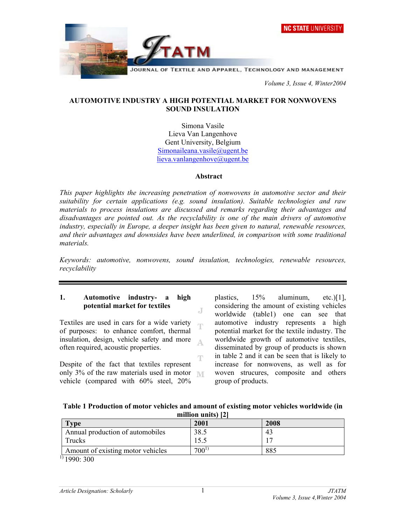



JOURNAL OF TEXTILE AND APPAREL, TECHNOLOGY AND MANAGEMENT

 *Volume 3, Issue 4, Winter2004* 

## **AUTOMOTIVE INDUSTRY A HIGH POTENTIAL MARKET FOR NONWOVENS SOUND INSULATION**

Simona Vasile Lieva Van Langenhove Gent University, Belgium Simonaileana.vasile@ugent.be lieva.vanlangenhove@ugent.be

#### **Abstract**

*This paper highlights the increasing penetration of nonwovens in automotive sector and their suitability for certain applications (e.g. sound insulation). Suitable technologies and raw materials to process insulations are discussed and remarks regarding their advantages and disadvantages are pointed out. As the recyclability is one of the main drivers of automotive industry, especially in Europe, a deeper insight has been given to natural, renewable resources, and their advantages and downsides have been underlined, in comparison with some traditional materials.* 

*Keywords: automotive, nonwovens, sound insulation, technologies, renewable resources, recyclability*

J

## **1. Automotive industry- a high potential market for textiles**

Textiles are used in cars for a wide variety of purposes: to enhance comfort, thermal insulation, design, vehicle safety and more A. often required, acoustic properties.

Ŧ Despite of the fact that textiles represent only 3% of the raw materials used in motor vehicle (compared with 60% steel, 20%

plastics, 15% aluminum, etc.)[1], considering the amount of existing vehicles worldwide (table1) one can see that automotive industry represents a high potential market for the textile industry. The worldwide growth of automotive textiles, disseminated by group of products is shown in table 2 and it can be seen that is likely to increase for nonwovens, as well as for woven strucures, composite and others group of products.

| Table 1 Production of motor vehicles and amount of existing motor vehicles worldwide (in |
|------------------------------------------------------------------------------------------|
| million units) [2]                                                                       |

| Type                              | 2001      | 2008 |  |
|-----------------------------------|-----------|------|--|
| Annual production of automobiles  | 38.5      | 43   |  |
| Trucks                            | 5.5       |      |  |
| Amount of existing motor vehicles | $700^{1}$ | 885  |  |
| 111000000                         |           |      |  |

 $\frac{1}{9}$  1990: 300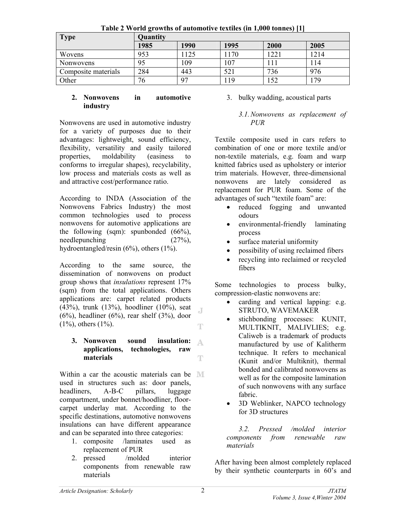| <b>1 avit 2 world growths of automotive textiles (in 1,000 tonnes)</b> [1] |                 |      |      |       |      |
|----------------------------------------------------------------------------|-----------------|------|------|-------|------|
| <b>Type</b>                                                                | <b>Quantity</b> |      |      |       |      |
|                                                                            | 1985            | 1990 | 1995 | 2000  | 2005 |
| Wovens                                                                     | 953             | 125  | 170  | 1221  | 1214 |
| Nonwovens                                                                  | 95              | 109  | 107  | l 1 1 | 114  |
| Composite materials                                                        | 284             | 443  | 521  | 736   | 976  |
| Other                                                                      | 76              | 97   | .19  | 152   | 179  |

**Table 2 World growths of automotive textiles (in 1,000 tonnes) [1]** 

## **2. Nonwovens in automotive industry**

Nonwovens are used in automotive industry for a variety of purposes due to their advantages: lightweight, sound efficiency, flexibility, versatility and easily tailored properties, moldability (easiness to conforms to irregular shapes), recyclability, low process and materials costs as well as and attractive cost/performance ratio.

According to INDA (Association of the Nonwovens Fabrics Industry) the most common technologies used to process nonwovens for automotive applications are the following (sqm): spunbonded (66%), needlepunching (27%), hydroentangled/resin (6%), others (1%).

According to the same source, the dissemination of nonwovens on product group shows that *insulations* represent 17% (sqm) from the total applications. Others applications are: carpet related products (43%), trunk (13%), hoodliner (10%), seat Æ  $(6\%)$ , headliner  $(6\%)$ , rear shelf  $(3\%)$ , door (1%), others (1%). т

#### **3. Nonwoven sound insulation:**  A **applications, technologies, raw materials**  Ŧ

Within a car the acoustic materials can be **MI** used in structures such as: door panels, headliners, A-B-C pillars, luggage compartment, under bonnet/hoodliner, floorcarpet underlay mat. According to the specific destinations, automotive nonwovens insulations can have different appearance and can be separated into three categories:

- 1. composite /laminates used as replacement of PUR
- 2. pressed /molded interior components from renewable raw materials

3. bulky wadding, acoustical parts

## *3.1. Nonwovens as replacement of PUR*

Textile composite used in cars refers to combination of one or more textile and/or non-textile materials, e.g. foam and warp knitted fabrics used as upholstery or interior trim materials. However, three-dimensional nonwovens are lately considered as replacement for PUR foam. Some of the advantages of such "textile foam" are:

- reduced fogging and unwanted odours
- environmental-friendly laminating process
- surface material uniformity
- possibility of using reclaimed fibers
- recycling into reclaimed or recycled fibers

Some technologies to process bulky, compression-elastic nonwovens are:

- carding and vertical lapping: e.g. STRUTO, WAVEMAKER
- stichbonding processes: KUNIT, MULTIKNIT, MALIVLIES; e.g. Caliweb is a trademark of products manufactured by use of Kalitherm technique. It refers to mechanical (Kunit and/or Multiknit), thermal bonded and calibrated nonwovens as well as for the composite lamination of such nonwovens with any surface fabric.
- 3D Weblinker, NAPCO technology for 3D structures

*3.2. Pressed /molded interior components from renewable raw materials* 

After having been almost completely replaced by their synthetic counterparts in 60's and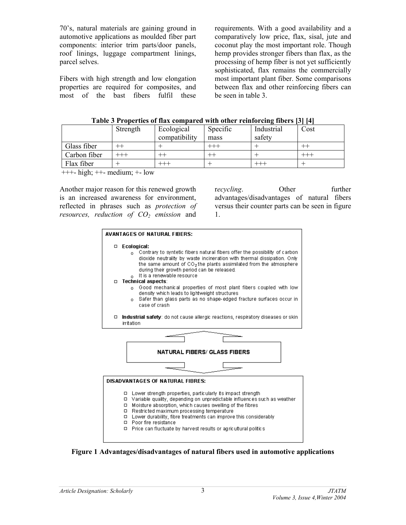70's, natural materials are gaining ground in automotive applications as moulded fiber part components: interior trim parts/door panels, roof linings, luggage compartment linings, parcel selves.

Fibers with high strength and low elongation properties are required for composites, and most of the bast fibers fulfil these requirements. With a good availability and a comparatively low price, flax, sisal, jute and coconut play the most important role. Though hemp provides stronger fibers than flax, as the processing of hemp fiber is not yet sufficiently sophisticated, flax remains the commercially most important plant fiber. Some comparisons between flax and other reinforcing fibers can be seen in table 3.

|  | Table 3 Properties of flax compared with other reinforcing fibers [3] [4] |  |
|--|---------------------------------------------------------------------------|--|
|  |                                                                           |  |

|              | Strength | Ecological    | Specific | Industrial | Cost |
|--------------|----------|---------------|----------|------------|------|
|              |          | compatibility | mass     | safety     |      |
| Glass fiber  |          |               |          |            |      |
| Carbon fiber | +++      |               |          |            |      |
| Flax fiber   |          |               |          |            |      |

 $+++$ - high;  $++$ - medium;  $+-$  low

Another major reason for this renewed growth is an increased awareness for environment, reflected in phrases such as *protection of resources, reduction of*  $CO<sub>2</sub>$  *emission* and

recycling. Other further advantages/disadvantages of natural fibers versus their counter parts can be seen in figure 1.



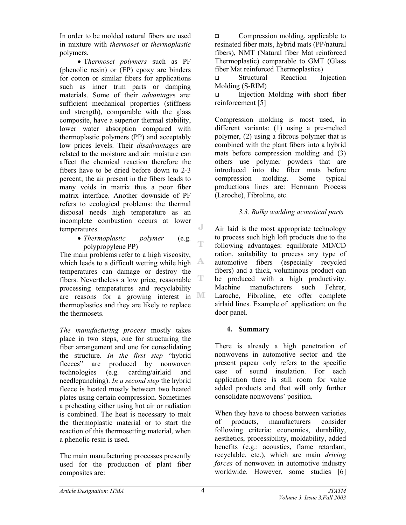In order to be molded natural fibers are used in mixture with *thermoset* or *thermoplastic* polymers.

• T*hermoset polymers* such as PF (phenolic resin) or (EP) epoxy are binders for cotton or similar fibers for applications such as inner trim parts or damping materials. Some of their *advantage*s are: sufficient mechanical properties (stiffness and strength), comparable with the glass composite, have a superior thermal stability, lower water absorption compared with thermoplastic polymers (PP) and acceptably low prices levels. Their *disadvantages* are related to the moisture and air: moisture can affect the chemical reaction therefore the fibers have to be dried before down to 2-3 percent; the air present in the fibers leads to many voids in matrix thus a poor fiber matrix interface. Another downside of PF refers to ecological problems: the thermal disposal needs high temperature as an incomplete combustion occurs at lower J temperatures.

#### • *Thermoplastic polymer* (e.g. polypropylene PP)

The main problems refer to a high viscosity, which leads to a difficult wetting while high  $A$ temperatures can damage or destroy the T fibers. Nevertheless a low price, reasonable processing temperatures and recyclability are reasons for a growing interest in MI thermoplastics and they are likely to replace the thermosets.

*The manufacturing process* mostly takes place in two steps, one for structuring the fiber arrangement and one for consolidating the structure. *In the first step* "hybrid fleeces" are produced by nonwoven technologies (e.g. carding/airlaid and needlepunching). *In a second step* the hybrid fleece is heated mostly between two heated plates using certain compression. Sometimes a preheating either using hot air or radiation is combined. The heat is necessary to melt the thermoplastic material or to start the reaction of this thermosetting material, when a phenolic resin is used.

The main manufacturing processes presently used for the production of plant fiber composites are:

**Q** Compression molding, applicable to resinated fiber mats, hybrid mats (PP/natural fibers), NMT (Natural fiber Mat reinforced Thermoplastic) comparable to GMT (Glass fiber Mat reinforced Thermoplastics)

 Structural Reaction Injection Molding (S-RIM)

 $\Box$  Injection Molding with short fiber reinforcement [5]

Compression molding is most used, in different variants: (1) using a pre-melted polymer, (2) using a fibrous polymer that is combined with the plant fibers into a hybrid mats before compression molding and (3) others use polymer powders that are introduced into the fiber mats before compression molding. Some typical productions lines are: Hermann Process (Laroche), Fibroline, etc.

# *3.3. Bulky wadding acoustical parts*

Air laid is the most appropriate technology to process such high loft products due to the following advantages: equilibrate MD/CD ration, suitability to process any type of automotive fibers (especially recycled fibers) and a thick, voluminous product can be produced with a high productivity. Machine manufacturers such Fehrer, Laroche, Fibroline, etc offer complete airlaid lines. Example of application: on the door panel.

# **4. Summary**

There is already a high penetration of nonwovens in automotive sector and the present papear only refers to the specific case of sound insulation. For each application there is still room for value added products and that will only further consolidate nonwovens' position.

When they have to choose between varieties of products, manufacturers consider following criteria: economics, durability, aesthetics, processibility, moldability, added benefits (e.g.: acoustics, flame retardant, recyclable, etc.), which are main *driving forces* of nonwoven in automotive industry worldwide. However, some studies [6]

行門